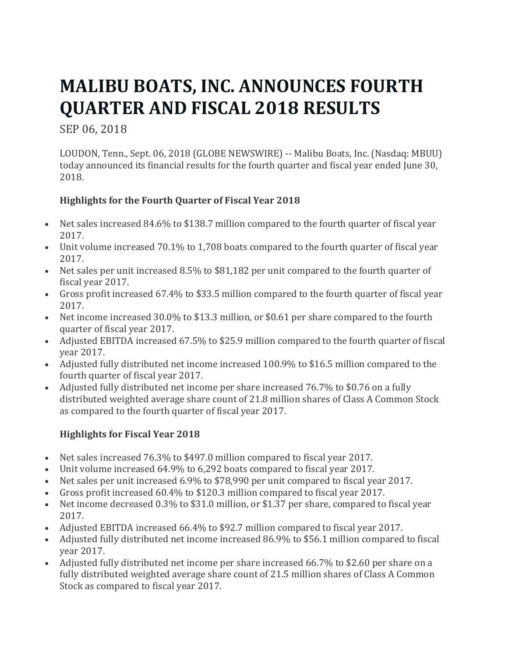# **MALIBU BOATS, INC. ANNOUNCES FOURTH QUARTER AND FISCAL 2018 RESULTS**

SEP 06, 2018

LOUDON, Tenn., Sept. 06, 2018 (GLOBE NEWSWIRE) -- Malibu Boats, Inc. (Nasdaq: MBUU) today announced its financial results for the fourth quarter and fiscal year ended June 30, 2018.

# **Highlights for the Fourth Quarter of Fiscal Year 2018**

- Net sales increased 84.6% to \$138.7 million compared to the fourth quarter of fiscal year 2017.
- Unit volume increased 70.1% to 1,708 boats compared to the fourth quarter of fiscal year 2017.
- Net sales per unit increased  $8.5\%$  to \$81,182 per unit compared to the fourth quarter of fiscal year 2017.
- Gross profit increased 67.4% to \$33.5 million compared to the fourth quarter of fiscal year 2017.
- Net income increased 30.0% to \$13.3 million, or \$0.61 per share compared to the fourth quarter of fiscal year 2017.
- Adjusted EBITDA increased 67.5% to \$25.9 million compared to the fourth quarter of fiscal year 2017.
- Adjusted fully distributed net income increased 100.9% to \$16.5 million compared to the fourth quarter of fiscal year 2017.
- Adjusted fully distributed net income per share increased 76.7% to \$0.76 on a fully distributed weighted average share count of 21.8 million shares of Class A Common Stock as compared to the fourth quarter of fiscal year 2017.

## **Highlights for Fiscal Year 2018**

- Net sales increased 76.3% to \$497.0 million compared to fiscal year 2017.
- Unit volume increased  $64.9\%$  to  $6.292$  boats compared to fiscal year 2017.
- Net sales per unit increased 6.9% to \$78,990 per unit compared to fiscal year 2017.
- Gross profit increased 60.4% to \$120.3 million compared to fiscal year 2017.
- Net income decreased 0.3% to \$31.0 million, or \$1.37 per share, compared to fiscal year 2017.
- Adjusted EBITDA increased 66.4% to \$92.7 million compared to fiscal year 2017.
- Adjusted fully distributed net income increased 86.9% to \$56.1 million compared to fiscal vear 2017.
- Adjusted fully distributed net income per share increased 66.7% to \$2.60 per share on a fully distributed weighted average share count of 21.5 million shares of Class A Common Stock as compared to fiscal year 2017.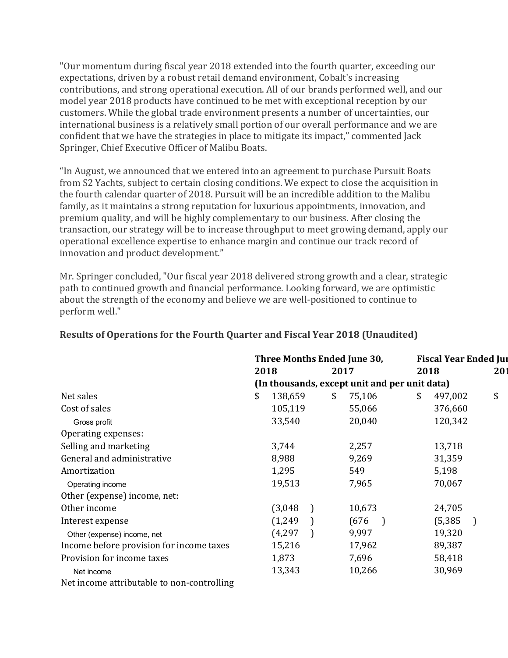"Our momentum during fiscal year 2018 extended into the fourth quarter, exceeding our expectations, driven by a robust retail demand environment, Cobalt's increasing contributions, and strong operational execution. All of our brands performed well, and our model year 2018 products have continued to be met with exceptional reception by our customers. While the global trade environment presents a number of uncertainties, our international business is a relatively small portion of our overall performance and we are confident that we have the strategies in place to mitigate its impact," commented Jack Springer, Chief Executive Officer of Malibu Boats.

"In August, we announced that we entered into an agreement to purchase Pursuit Boats from S2 Yachts, subject to certain closing conditions. We expect to close the acquisition in the fourth calendar quarter of 2018. Pursuit will be an incredible addition to the Malibu family, as it maintains a strong reputation for luxurious appointments, innovation, and premium quality, and will be highly complementary to our business. After closing the transaction, our strategy will be to increase throughput to meet growing demand, apply our operational excellence expertise to enhance margin and continue our track record of innovation and product development."

Mr. Springer concluded, "Our fiscal year 2018 delivered strong growth and a clear, strategic path to continued growth and financial performance. Looking forward, we are optimistic about the strength of the economy and believe we are well-positioned to continue to perform well."

|                                            |                                               | Three Months Ended June 30, |  |    |        | <b>Fiscal Year Ended Jul</b> |    |          |  |     |
|--------------------------------------------|-----------------------------------------------|-----------------------------|--|----|--------|------------------------------|----|----------|--|-----|
|                                            |                                               | 2018                        |  |    | 2017   |                              |    | 2018     |  | 201 |
|                                            | (In thousands, except unit and per unit data) |                             |  |    |        |                              |    |          |  |     |
| Net sales                                  | \$                                            | 138,659                     |  | \$ | 75,106 |                              | \$ | 497,002  |  | \$  |
| Cost of sales                              |                                               | 105,119                     |  |    | 55,066 |                              |    | 376,660  |  |     |
| Gross profit                               |                                               | 33,540                      |  |    | 20,040 |                              |    | 120,342  |  |     |
| Operating expenses:                        |                                               |                             |  |    |        |                              |    |          |  |     |
| Selling and marketing                      |                                               | 3,744                       |  |    | 2,257  |                              |    | 13,718   |  |     |
| General and administrative                 |                                               | 8,988                       |  |    | 9,269  |                              |    | 31,359   |  |     |
| Amortization                               |                                               | 1,295                       |  |    | 549    |                              |    | 5,198    |  |     |
| Operating income                           |                                               | 19,513                      |  |    | 7,965  |                              |    | 70,067   |  |     |
| Other (expense) income, net:               |                                               |                             |  |    |        |                              |    |          |  |     |
| Other income                               |                                               | (3,048)                     |  |    | 10,673 |                              |    | 24,705   |  |     |
| Interest expense                           |                                               | (1,249)                     |  |    | (676)  |                              |    | (5, 385) |  |     |
| Other (expense) income, net                |                                               | (4, 297)                    |  |    | 9,997  |                              |    | 19,320   |  |     |
| Income before provision for income taxes   |                                               | 15,216                      |  |    | 17,962 |                              |    | 89,387   |  |     |
| Provision for income taxes                 |                                               | 1,873                       |  |    | 7,696  |                              |    | 58,418   |  |     |
| Net income                                 |                                               | 13,343                      |  |    | 10,266 |                              |    | 30,969   |  |     |
| Net income attributable to non-controlling |                                               |                             |  |    |        |                              |    |          |  |     |

#### **Results of Operations for the Fourth Quarter and Fiscal Year 2018 (Unaudited)**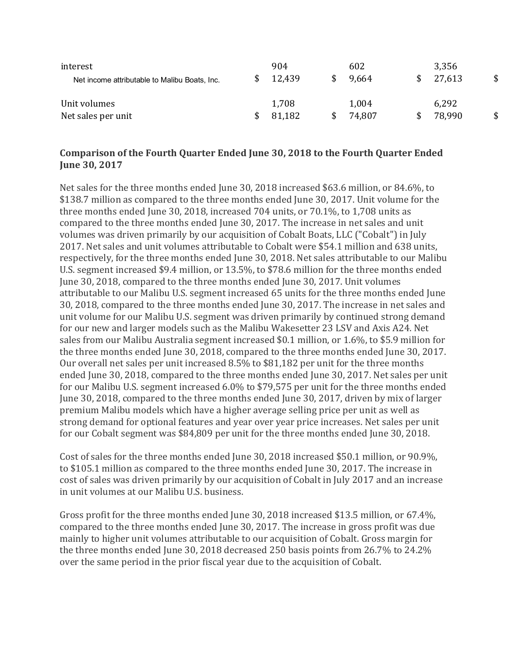| interest<br>Net income attributable to Malibu Boats, Inc. | 904<br>12,439   | 602<br>9.664    | 3,356<br>27,613 | \$ |
|-----------------------------------------------------------|-----------------|-----------------|-----------------|----|
| Unit volumes<br>Net sales per unit                        | 1,708<br>81,182 | 1,004<br>74,807 | 6,292<br>78,990 | \$ |

#### **Comparison of the Fourth Quarter Ended June 30, 2018 to the Fourth Quarter Ended June 30, 2017**

Net sales for the three months ended June 30, 2018 increased \$63.6 million, or 84.6%, to \$138.7 million as compared to the three months ended June 30, 2017. Unit volume for the three months ended June 30, 2018, increased  $704$  units, or  $70.1\%$ , to 1,708 units as compared to the three months ended June 30, 2017. The increase in net sales and unit volumes was driven primarily by our acquisition of Cobalt Boats, LLC ("Cobalt") in July 2017. Net sales and unit volumes attributable to Cobalt were \$54.1 million and 638 units, respectively, for the three months ended June 30, 2018. Net sales attributable to our Malibu U.S. segment increased \$9.4 million, or 13.5%, to \$78.6 million for the three months ended June 30, 2018, compared to the three months ended June 30, 2017. Unit volumes attributable to our Malibu U.S. segment increased 65 units for the three months ended June 30, 2018, compared to the three months ended June 30, 2017. The increase in net sales and unit volume for our Malibu U.S. segment was driven primarily by continued strong demand for our new and larger models such as the Malibu Wakesetter 23 LSV and Axis A24. Net sales from our Malibu Australia segment increased \$0.1 million, or 1.6%, to \$5.9 million for the three months ended June 30, 2018, compared to the three months ended June 30, 2017. Our overall net sales per unit increased 8.5% to \$81,182 per unit for the three months ended June 30, 2018, compared to the three months ended June 30, 2017. Net sales per unit for our Malibu U.S. segment increased 6.0% to \$79,575 per unit for the three months ended June 30, 2018, compared to the three months ended June 30, 2017, driven by mix of larger premium Malibu models which have a higher average selling price per unit as well as strong demand for optional features and year over year price increases. Net sales per unit for our Cobalt segment was \$84,809 per unit for the three months ended June 30, 2018.

Cost of sales for the three months ended June 30, 2018 increased \$50.1 million, or 90.9%, to \$105.1 million as compared to the three months ended June 30, 2017. The increase in cost of sales was driven primarily by our acquisition of Cobalt in July 2017 and an increase in unit volumes at our Malibu U.S. business.

Gross profit for the three months ended June 30, 2018 increased \$13.5 million, or 67.4%, compared to the three months ended June 30, 2017. The increase in gross profit was due mainly to higher unit volumes attributable to our acquisition of Cobalt. Gross margin for the three months ended June 30, 2018 decreased 250 basis points from 26.7% to 24.2% over the same period in the prior fiscal year due to the acquisition of Cobalt.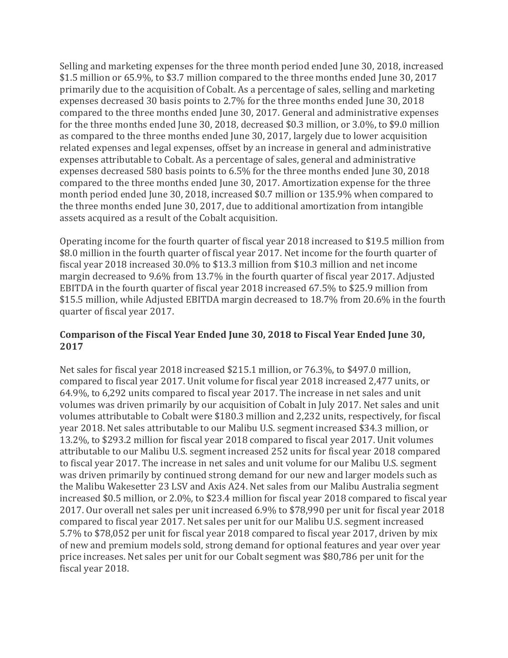Selling and marketing expenses for the three month period ended June 30, 2018, increased \$1.5 million or 65.9%, to \$3.7 million compared to the three months ended June 30, 2017 primarily due to the acquisition of Cobalt. As a percentage of sales, selling and marketing expenses decreased 30 basis points to 2.7% for the three months ended June 30, 2018 compared to the three months ended June 30, 2017. General and administrative expenses for the three months ended June 30, 2018, decreased \$0.3 million, or  $3.0\%$ , to \$9.0 million as compared to the three months ended June 30, 2017, largely due to lower acquisition related expenses and legal expenses, offset by an increase in general and administrative expenses attributable to Cobalt. As a percentage of sales, general and administrative expenses decreased 580 basis points to 6.5% for the three months ended June 30, 2018 compared to the three months ended June 30, 2017. Amortization expense for the three month period ended June 30, 2018, increased \$0.7 million or 135.9% when compared to the three months ended June 30, 2017, due to additional amortization from intangible assets acquired as a result of the Cobalt acquisition.

Operating income for the fourth quarter of fiscal year 2018 increased to \$19.5 million from \$8.0 million in the fourth quarter of fiscal year 2017. Net income for the fourth quarter of fiscal year 2018 increased 30.0% to \$13.3 million from \$10.3 million and net income margin decreased to 9.6% from 13.7% in the fourth quarter of fiscal year 2017. Adjusted EBITDA in the fourth quarter of fiscal year 2018 increased 67.5% to \$25.9 million from \$15.5 million, while Adjusted EBITDA margin decreased to 18.7% from 20.6% in the fourth quarter of fiscal year 2017.

#### **Comparison of the Fiscal Year Ended June 30, 2018 to Fiscal Year Ended June 30, 2017**

Net sales for fiscal year 2018 increased \$215.1 million, or 76.3%, to \$497.0 million, compared to fiscal year 2017. Unit volume for fiscal year 2018 increased 2,477 units, or 64.9%, to 6,292 units compared to fiscal year 2017. The increase in net sales and unit volumes was driven primarily by our acquisition of Cobalt in July 2017. Net sales and unit volumes attributable to Cobalt were \$180.3 million and 2,232 units, respectively, for fiscal year 2018. Net sales attributable to our Malibu U.S. segment increased \$34.3 million, or 13.2%, to \$293.2 million for fiscal year 2018 compared to fiscal year 2017. Unit volumes attributable to our Malibu U.S. segment increased 252 units for fiscal year 2018 compared to fiscal year 2017. The increase in net sales and unit volume for our Malibu U.S. segment was driven primarily by continued strong demand for our new and larger models such as the Malibu Wakesetter 23 LSV and Axis A24. Net sales from our Malibu Australia segment increased \$0.5 million, or 2.0%, to \$23.4 million for fiscal year 2018 compared to fiscal year 2017. Our overall net sales per unit increased 6.9% to \$78,990 per unit for fiscal year 2018 compared to fiscal year 2017. Net sales per unit for our Malibu U.S. segment increased 5.7% to \$78,052 per unit for fiscal year 2018 compared to fiscal year 2017, driven by mix of new and premium models sold, strong demand for optional features and year over year price increases. Net sales per unit for our Cobalt segment was \$80,786 per unit for the fiscal year 2018.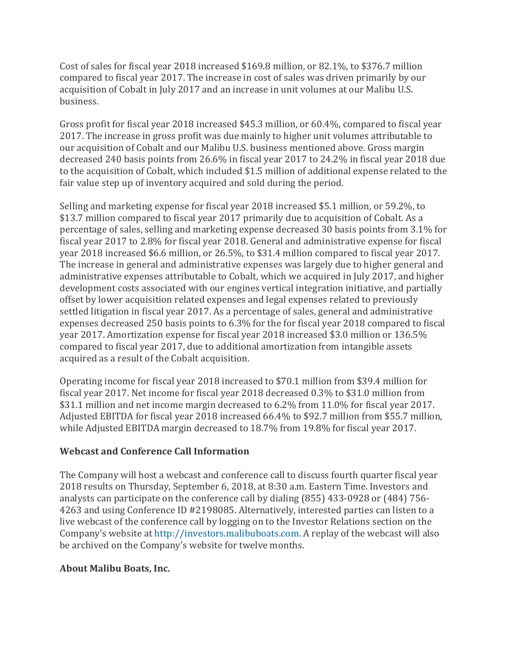Cost of sales for fiscal year 2018 increased \$169.8 million, or 82.1%, to \$376.7 million compared to fiscal year 2017. The increase in cost of sales was driven primarily by our acquisition of Cobalt in July 2017 and an increase in unit volumes at our Malibu U.S. business.

Gross profit for fiscal year 2018 increased \$45.3 million, or  $60.4\%$ , compared to fiscal year 2017. The increase in gross profit was due mainly to higher unit volumes attributable to our acquisition of Cobalt and our Malibu U.S. business mentioned above. Gross margin decreased 240 basis points from 26.6% in fiscal year 2017 to 24.2% in fiscal year 2018 due to the acquisition of Cobalt, which included \$1.5 million of additional expense related to the fair value step up of inventory acquired and sold during the period.

Selling and marketing expense for fiscal year 2018 increased \$5.1 million, or 59.2%, to \$13.7 million compared to fiscal year 2017 primarily due to acquisition of Cobalt. As a percentage of sales, selling and marketing expense decreased 30 basis points from 3.1% for fiscal year 2017 to 2.8% for fiscal year 2018. General and administrative expense for fiscal year 2018 increased \$6.6 million, or 26.5%, to \$31.4 million compared to fiscal year 2017. The increase in general and administrative expenses was largely due to higher general and administrative expenses attributable to Cobalt, which we acquired in July 2017, and higher development costs associated with our engines vertical integration initiative, and partially offset by lower acquisition related expenses and legal expenses related to previously settled litigation in fiscal year 2017. As a percentage of sales, general and administrative expenses decreased 250 basis points to 6.3% for the for fiscal year 2018 compared to fiscal year 2017. Amortization expense for fiscal year 2018 increased \$3.0 million or 136.5% compared to fiscal year 2017, due to additional amortization from intangible assets acquired as a result of the Cobalt acquisition.

Operating income for fiscal year 2018 increased to \$70.1 million from \$39.4 million for fiscal year 2017. Net income for fiscal year 2018 decreased 0.3% to \$31.0 million from \$31.1 million and net income margin decreased to 6.2% from 11.0% for fiscal year 2017. Adjusted EBITDA for fiscal year 2018 increased 66.4% to \$92.7 million from \$55.7 million, while Adjusted EBITDA margin decreased to 18.7% from 19.8% for fiscal year 2017.

## **Webcast and Conference Call Information**

The Company will host a webcast and conference call to discuss fourth quarter fiscal year 2018 results on Thursday, September 6, 2018, at 8:30 a.m. Eastern Time. Investors and analysts can participate on the conference call by dialing  $(855)$  433-0928 or  $(484)$  756-4263 and using Conference ID #2198085. Alternatively, interested parties can listen to a live webcast of the conference call by logging on to the Investor Relations section on the Company's website at http://investors.malibuboats.com. A replay of the webcast will also be archived on the Company's website for twelve months.

## **About Malibu Boats, Inc.**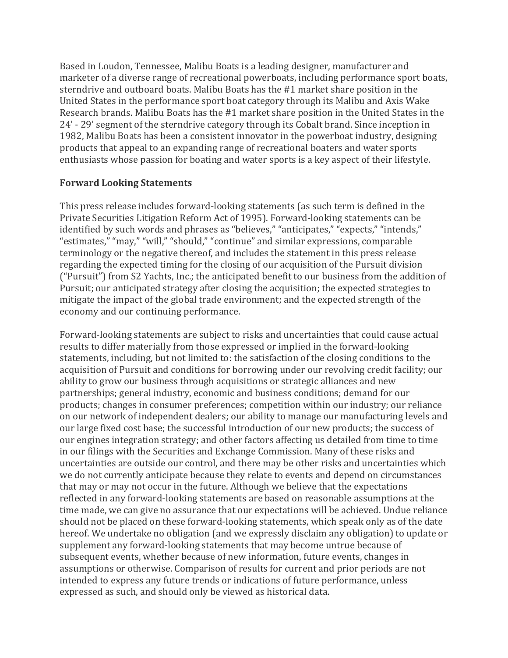Based in Loudon, Tennessee, Malibu Boats is a leading designer, manufacturer and marketer of a diverse range of recreational powerboats, including performance sport boats, sterndrive and outboard boats. Malibu Boats has the #1 market share position in the United States in the performance sport boat category through its Malibu and Axis Wake Research brands. Malibu Boats has the #1 market share position in the United States in the 24' - 29' segment of the sterndrive category through its Cobalt brand. Since inception in 1982, Malibu Boats has been a consistent innovator in the powerboat industry, designing products that appeal to an expanding range of recreational boaters and water sports enthusiasts whose passion for boating and water sports is a key aspect of their lifestyle.

#### **Forward Looking Statements**

This press release includes forward-looking statements (as such term is defined in the Private Securities Litigation Reform Act of 1995). Forward-looking statements can be identified by such words and phrases as "believes," "anticipates," "expects," "intends," "estimates," "may," "will," "should," "continue" and similar expressions, comparable terminology or the negative thereof, and includes the statement in this press release regarding the expected timing for the closing of our acquisition of the Pursuit division ("Pursuit") from S2 Yachts, Inc.; the anticipated benefit to our business from the addition of Pursuit; our anticipated strategy after closing the acquisition; the expected strategies to mitigate the impact of the global trade environment; and the expected strength of the economy and our continuing performance.

Forward-looking statements are subject to risks and uncertainties that could cause actual results to differ materially from those expressed or implied in the forward-looking statements, including, but not limited to: the satisfaction of the closing conditions to the acquisition of Pursuit and conditions for borrowing under our revolving credit facility; our ability to grow our business through acquisitions or strategic alliances and new partnerships; general industry, economic and business conditions; demand for our products; changes in consumer preferences; competition within our industry; our reliance on our network of independent dealers; our ability to manage our manufacturing levels and our large fixed cost base; the successful introduction of our new products; the success of our engines integration strategy; and other factors affecting us detailed from time to time in our filings with the Securities and Exchange Commission. Many of these risks and uncertainties are outside our control, and there may be other risks and uncertainties which we do not currently anticipate because they relate to events and depend on circumstances that may or may not occur in the future. Although we believe that the expectations reflected in any forward-looking statements are based on reasonable assumptions at the time made, we can give no assurance that our expectations will be achieved. Undue reliance should not be placed on these forward-looking statements, which speak only as of the date hereof. We undertake no obligation (and we expressly disclaim any obligation) to update or supplement any forward-looking statements that may become untrue because of subsequent events, whether because of new information, future events, changes in assumptions or otherwise. Comparison of results for current and prior periods are not intended to express any future trends or indications of future performance, unless expressed as such, and should only be viewed as historical data.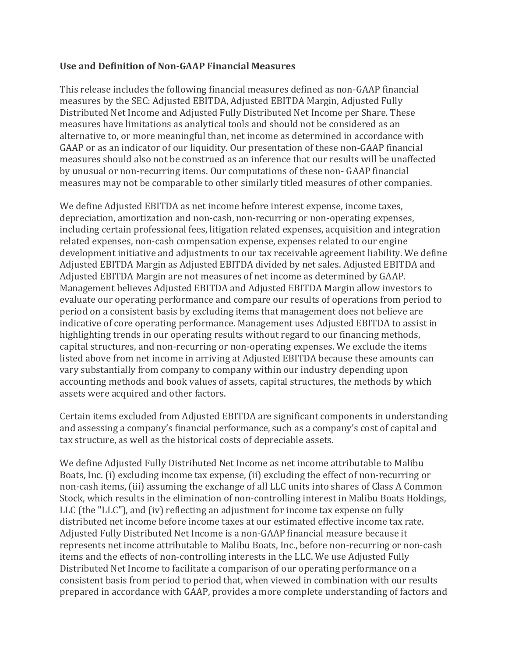#### **Use and Definition of Non-GAAP Financial Measures**

This release includes the following financial measures defined as non-GAAP financial measures by the SEC: Adjusted EBITDA, Adjusted EBITDA Margin, Adjusted Fully Distributed Net Income and Adjusted Fully Distributed Net Income per Share. These measures have limitations as analytical tools and should not be considered as an alternative to, or more meaningful than, net income as determined in accordance with GAAP or as an indicator of our liquidity. Our presentation of these non-GAAP financial measures should also not be construed as an inference that our results will be unaffected by unusual or non-recurring items. Our computations of these non- GAAP financial measures may not be comparable to other similarly titled measures of other companies.

We define Adjusted EBITDA as net income before interest expense, income taxes, depreciation, amortization and non-cash, non-recurring or non-operating expenses, including certain professional fees, litigation related expenses, acquisition and integration related expenses, non-cash compensation expense, expenses related to our engine development initiative and adjustments to our tax receivable agreement liability. We define Adjusted EBITDA Margin as Adjusted EBITDA divided by net sales. Adjusted EBITDA and Adjusted EBITDA Margin are not measures of net income as determined by GAAP. Management believes Adjusted EBITDA and Adjusted EBITDA Margin allow investors to evaluate our operating performance and compare our results of operations from period to period on a consistent basis by excluding items that management does not believe are indicative of core operating performance. Management uses Adjusted EBITDA to assist in highlighting trends in our operating results without regard to our financing methods, capital structures, and non-recurring or non-operating expenses. We exclude the items listed above from net income in arriving at Adjusted EBITDA because these amounts can vary substantially from company to company within our industry depending upon accounting methods and book values of assets, capital structures, the methods by which assets were acquired and other factors.

Certain items excluded from Adjusted EBITDA are significant components in understanding and assessing a company's financial performance, such as a company's cost of capital and tax structure, as well as the historical costs of depreciable assets.

We define Adjusted Fully Distributed Net Income as net income attributable to Malibu Boats, Inc. (i) excluding income tax expense, (ii) excluding the effect of non-recurring or non-cash items, (iii) assuming the exchange of all LLC units into shares of Class A Common Stock, which results in the elimination of non-controlling interest in Malibu Boats Holdings, LLC  $($ the "LLC" $)$ , and  $(iv)$  reflecting an adjustment for income tax expense on fully distributed net income before income taxes at our estimated effective income tax rate. Adjusted Fully Distributed Net Income is a non-GAAP financial measure because it represents net income attributable to Malibu Boats, Inc., before non-recurring or non-cash items and the effects of non-controlling interests in the LLC. We use Adjusted Fully Distributed Net Income to facilitate a comparison of our operating performance on a consistent basis from period to period that, when viewed in combination with our results prepared in accordance with GAAP, provides a more complete understanding of factors and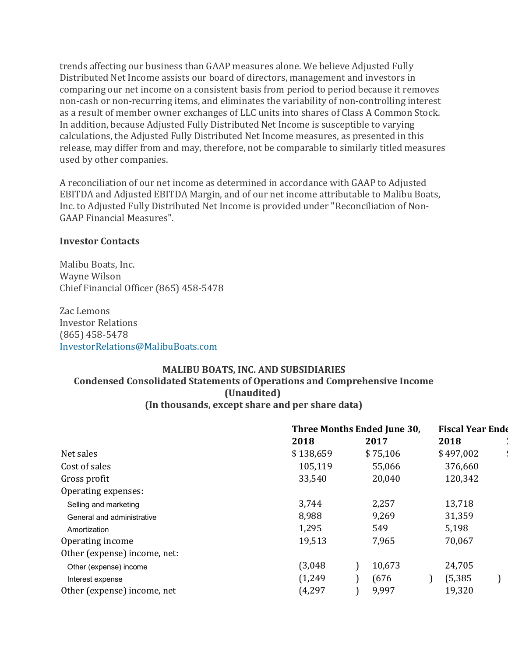trends affecting our business than GAAP measures alone. We believe Adjusted Fully Distributed Net Income assists our board of directors, management and investors in comparing our net income on a consistent basis from period to period because it removes non-cash or non-recurring items, and eliminates the variability of non-controlling interest as a result of member owner exchanges of LLC units into shares of Class A Common Stock. In addition, because Adjusted Fully Distributed Net Income is susceptible to varying calculations, the Adjusted Fully Distributed Net Income measures, as presented in this release, may differ from and may, therefore, not be comparable to similarly titled measures used by other companies.

A reconciliation of our net income as determined in accordance with GAAP to Adjusted EBITDA and Adjusted EBITDA Margin, and of our net income attributable to Malibu Boats, Inc. to Adjusted Fully Distributed Net Income is provided under "Reconciliation of Non-GAAP Financial Measures".

#### **Investor Contacts**

Malibu Boats, Inc. Wayne Wilson Chief Financial Officer (865) 458-5478

Zac Lemons Investor Relations (865) 458-5478 InvestorRelations@MalibuBoats.com

#### **MALIBU BOATS, INC. AND SUBSIDIARIES Condensed Consolidated Statements of Operations and Comprehensive Income (Unaudited) (In thousands, except share and per share data)**

|                              |           | Three Months Ended June 30, | <b>Fiscal Year Ende</b> |
|------------------------------|-----------|-----------------------------|-------------------------|
|                              | 2018      | 2017                        | 2018                    |
| Net sales                    | \$138,659 | \$75,106                    | \$497,002               |
| Cost of sales                | 105,119   | 55,066                      | 376,660                 |
| Gross profit                 | 33,540    | 20,040                      | 120,342                 |
| Operating expenses:          |           |                             |                         |
| Selling and marketing        | 3,744     | 2,257                       | 13,718                  |
| General and administrative   | 8,988     | 9,269                       | 31,359                  |
| Amortization                 | 1,295     | 549                         | 5,198                   |
| Operating income             | 19,513    | 7,965                       | 70,067                  |
| Other (expense) income, net: |           |                             |                         |
| Other (expense) income       | (3,048)   | 10,673                      | 24,705                  |
| Interest expense             | (1,249)   | (676)                       | (5, 385)                |
| Other (expense) income, net  | (4, 297)  | 9,997                       | 19,320                  |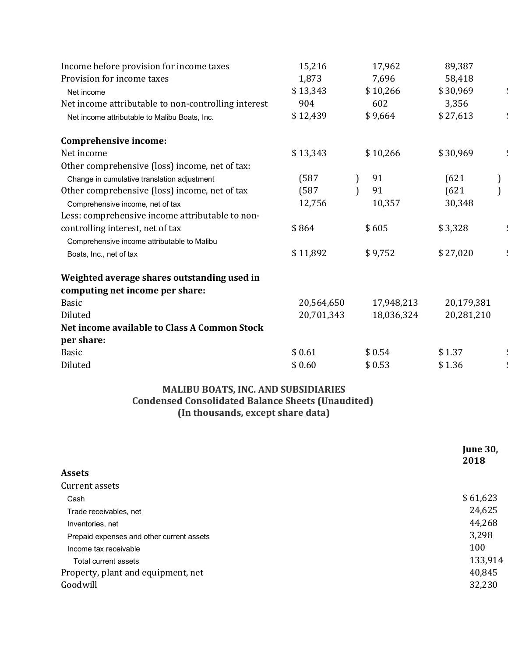| 15,216     | 17,962     | 89,387     |  |
|------------|------------|------------|--|
| 1,873      | 7,696      | 58,418     |  |
| \$13,343   | \$10,266   | \$30,969   |  |
| 904        | 602        | 3,356      |  |
| \$12,439   | \$9,664    | \$27,613   |  |
|            |            |            |  |
| \$13,343   | \$10,266   | \$30,969   |  |
|            |            |            |  |
| (587)      | 91         | (621)      |  |
| (587)      | 91         | (621)      |  |
| 12,756     | 10,357     | 30,348     |  |
|            |            |            |  |
| \$864      | \$605      | \$3,328    |  |
|            |            |            |  |
| \$11,892   | \$9,752    | \$27,020   |  |
|            |            |            |  |
|            |            |            |  |
| 20,564,650 | 17,948,213 | 20,179,381 |  |
| 20,701,343 | 18,036,324 | 20,281,210 |  |
|            |            |            |  |
|            |            |            |  |
| \$0.61     | \$0.54     | \$1.37     |  |
| \$0.60     | \$0.53     | \$1.36     |  |
|            |            |            |  |

## **MALIBU BOATS, INC. AND SUBSIDIARIES Condensed Consolidated Balance Sheets (Unaudited) (In thousands, except share data)**

|                                           | <b>June 30,</b><br>2018 |
|-------------------------------------------|-------------------------|
| <b>Assets</b>                             |                         |
| Current assets                            |                         |
| Cash                                      | \$61,623                |
| Trade receivables, net                    | 24,625                  |
| Inventories, net                          | 44,268                  |
| Prepaid expenses and other current assets | 3,298                   |
| Income tax receivable                     | 100                     |
| Total current assets                      | 133,914                 |
| Property, plant and equipment, net        | 40,845                  |
| Goodwill                                  | 32,230                  |
|                                           |                         |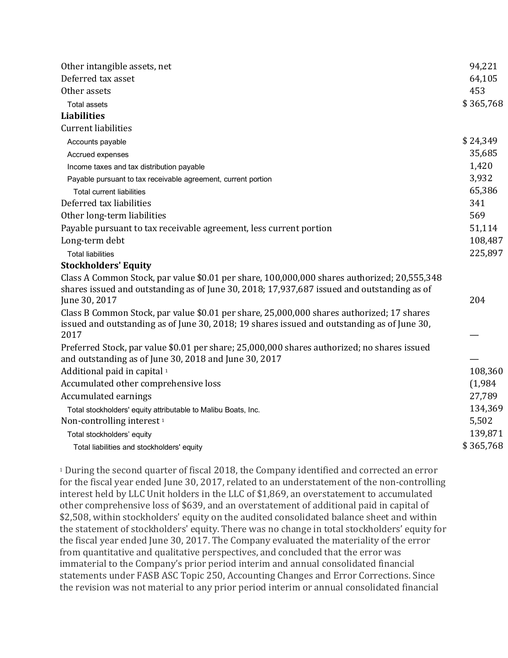| Other intangible assets, net                                                                                                                         | 94,221    |
|------------------------------------------------------------------------------------------------------------------------------------------------------|-----------|
| Deferred tax asset                                                                                                                                   | 64,105    |
| Other assets                                                                                                                                         | 453       |
| <b>Total assets</b>                                                                                                                                  | \$365,768 |
| <b>Liabilities</b>                                                                                                                                   |           |
| <b>Current liabilities</b>                                                                                                                           |           |
| Accounts payable                                                                                                                                     | \$24,349  |
| Accrued expenses                                                                                                                                     | 35,685    |
| Income taxes and tax distribution payable                                                                                                            | 1,420     |
| Payable pursuant to tax receivable agreement, current portion                                                                                        | 3,932     |
| <b>Total current liabilities</b>                                                                                                                     | 65,386    |
| Deferred tax liabilities                                                                                                                             | 341       |
| Other long-term liabilities                                                                                                                          | 569       |
| Payable pursuant to tax receivable agreement, less current portion                                                                                   | 51,114    |
| Long-term debt                                                                                                                                       | 108,487   |
| <b>Total liabilities</b>                                                                                                                             | 225,897   |
| <b>Stockholders' Equity</b>                                                                                                                          |           |
| Class A Common Stock, par value \$0.01 per share, 100,000,000 shares authorized; 20,555,348                                                          |           |
| shares issued and outstanding as of June 30, 2018; 17,937,687 issued and outstanding as of                                                           |           |
| June 30, 2017                                                                                                                                        | 204       |
| Class B Common Stock, par value \$0.01 per share, 25,000,000 shares authorized; 17 shares                                                            |           |
| issued and outstanding as of June 30, 2018; 19 shares issued and outstanding as of June 30,                                                          |           |
| 2017                                                                                                                                                 |           |
| Preferred Stock, par value \$0.01 per share; 25,000,000 shares authorized; no shares issued<br>and outstanding as of June 30, 2018 and June 30, 2017 |           |
| Additional paid in capital <sup>1</sup>                                                                                                              | 108,360   |
| Accumulated other comprehensive loss                                                                                                                 | (1,984)   |
| Accumulated earnings                                                                                                                                 | 27,789    |
|                                                                                                                                                      | 134,369   |
| Total stockholders' equity attributable to Malibu Boats, Inc.<br>Non-controlling interest <sup>1</sup>                                               | 5,502     |
| Total stockholders' equity                                                                                                                           | 139,871   |
| Total liabilities and stockholders' equity                                                                                                           | \$365,768 |
|                                                                                                                                                      |           |

<sup>1</sup> During the second quarter of fiscal 2018, the Company identified and corrected an error for the fiscal year ended June 30, 2017, related to an understatement of the non-controlling interest held by LLC Unit holders in the LLC of \$1,869, an overstatement to accumulated other comprehensive loss of \$639, and an overstatement of additional paid in capital of \$2,508, within stockholders' equity on the audited consolidated balance sheet and within the statement of stockholders' equity. There was no change in total stockholders' equity for the fiscal year ended June 30, 2017. The Company evaluated the materiality of the error from quantitative and qualitative perspectives, and concluded that the error was immaterial to the Company's prior period interim and annual consolidated financial statements under FASB ASC Topic 250, Accounting Changes and Error Corrections. Since the revision was not material to any prior period interim or annual consolidated financial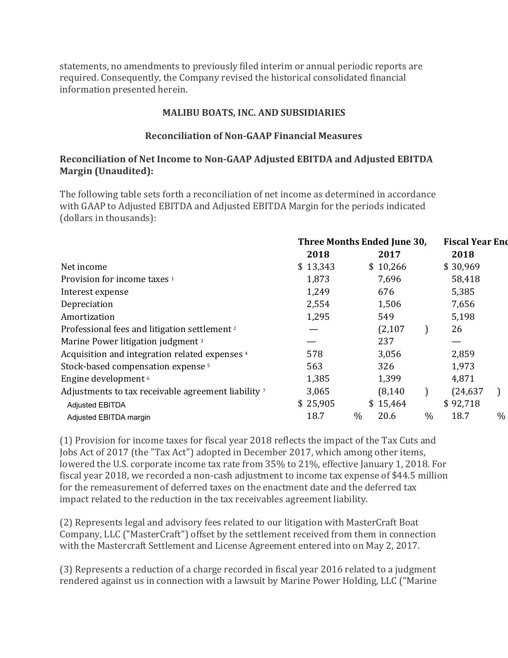statements, no amendments to previously filed interim or annual periodic reports are required. Consequently, the Company revised the historical consolidated financial information presented herein.

#### **MALIBU BOATS, INC. AND SUBSIDIARIES**

#### **Reconciliation of Non-GAAP Financial Measures**

#### **Reconciliation of Net Income to Non-GAAP Adjusted EBITDA and Adjusted EBITDA Margin (Unaudited):**

The following table sets forth a reconciliation of net income as determined in accordance with GAAP to Adjusted EBITDA and Adjusted EBITDA Margin for the periods indicated (dollars in thousands):

|                                                          | Three Months Ended June 30, |      |          |               | <b>Fiscal Year End</b> |      |  |
|----------------------------------------------------------|-----------------------------|------|----------|---------------|------------------------|------|--|
|                                                          | 2018                        |      | 2017     |               | 2018                   |      |  |
| Net income                                               | \$13,343                    |      | \$10,266 |               | \$30,969               |      |  |
| Provision for income taxes <sup>1</sup>                  | 1,873                       |      | 7,696    |               | 58,418                 |      |  |
| Interest expense                                         | 1,249                       |      | 676      |               | 5,385                  |      |  |
| Depreciation                                             | 2,554                       |      | 1,506    |               | 7,656                  |      |  |
| Amortization                                             | 1,295                       |      | 549      |               | 5,198                  |      |  |
| Professional fees and litigation settlement <sup>2</sup> |                             |      | (2,107)  |               | 26                     |      |  |
| Marine Power litigation judgment <sup>3</sup>            |                             |      | 237      |               |                        |      |  |
| Acquisition and integration related expenses 4           | 578                         |      | 3,056    |               | 2,859                  |      |  |
| Stock-based compensation expense <sup>5</sup>            | 563                         |      | 326      |               | 1,973                  |      |  |
| Engine development <sup>6</sup>                          | 1,385                       |      | 1,399    |               | 4,871                  |      |  |
| Adjustments to tax receivable agreement liability 7      | 3,065                       |      | (8, 140) |               | (24, 637)              |      |  |
| <b>Adjusted EBITDA</b>                                   | \$25,905                    |      | \$15,464 |               | \$92,718               |      |  |
| Adjusted EBITDA margin                                   | 18.7                        | $\%$ | 20.6     | $\frac{0}{0}$ | 18.7                   | $\%$ |  |

(1) Provision for income taxes for fiscal year 2018 reflects the impact of the Tax Cuts and Jobs Act of 2017 (the "Tax Act") adopted in December 2017, which among other items, lowered the U.S. corporate income tax rate from 35% to 21%, effective January 1, 2018. For fiscal year 2018, we recorded a non-cash adjustment to income tax expense of \$44.5 million for the remeasurement of deferred taxes on the enactment date and the deferred tax impact related to the reduction in the tax receivables agreement liability.

(2) Represents legal and advisory fees related to our litigation with MasterCraft Boat Company, LLC ("MasterCraft") offset by the settlement received from them in connection with the Mastercraft Settlement and License Agreement entered into on May 2, 2017.

(3) Represents a reduction of a charge recorded in fiscal year 2016 related to a judgment rendered against us in connection with a lawsuit by Marine Power Holding, LLC ("Marine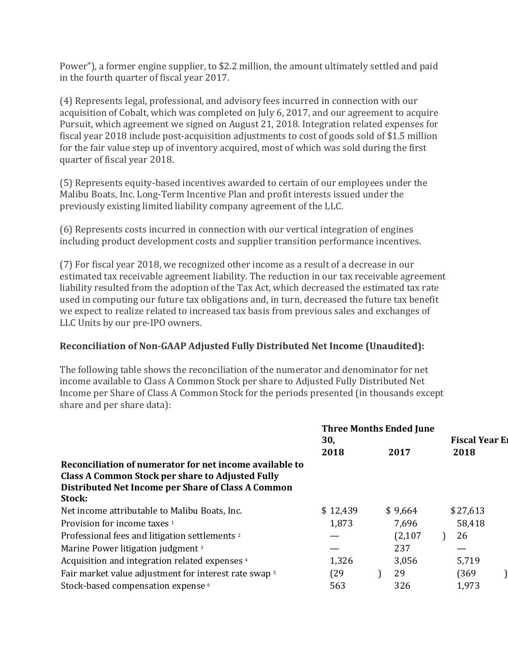Power"), a former engine supplier, to \$2.2 million, the amount ultimately settled and paid in the fourth quarter of fiscal year 2017.

(4) Represents legal, professional, and advisory fees incurred in connection with our acquisition of Cobalt, which was completed on July 6, 2017, and our agreement to acquire Pursuit, which agreement we signed on August 21, 2018. Integration related expenses for fiscal year 2018 include post-acquisition adjustments to cost of goods sold of \$1.5 million for the fair value step up of inventory acquired, most of which was sold during the first quarter of fiscal year 2018.

(5) Represents equity-based incentives awarded to certain of our employees under the Malibu Boats, Inc. Long-Term Incentive Plan and profit interests issued under the previously existing limited liability company agreement of the LLC.

(6) Represents costs incurred in connection with our vertical integration of engines including product development costs and supplier transition performance incentives.

(7) For fiscal year 2018, we recognized other income as a result of a decrease in our estimated tax receivable agreement liability. The reduction in our tax receivable agreement liability resulted from the adoption of the Tax Act, which decreased the estimated tax rate used in computing our future tax obligations and, in turn, decreased the future tax benefit we expect to realize related to increased tax basis from previous sales and exchanges of LLC Units by our pre-IPO owners.

## **Reconciliation of Non-GAAP Adjusted Fully Distributed Net Income (Unaudited):**

The following table shows the reconciliation of the numerator and denominator for net income available to Class A Common Stock per share to Adjusted Fully Distributed Net Income per Share of Class A Common Stock for the periods presented (in thousands except share and per share data):

|                                                                                                               | 30,      | <b>Three Months Ended June</b> | <b>Fiscal Year El</b> |
|---------------------------------------------------------------------------------------------------------------|----------|--------------------------------|-----------------------|
|                                                                                                               | 2018     | 2017                           | 2018                  |
| Reconciliation of numerator for net income available to                                                       |          |                                |                       |
| <b>Class A Common Stock per share to Adjusted Fully</b><br>Distributed Net Income per Share of Class A Common |          |                                |                       |
| Stock:                                                                                                        |          |                                |                       |
| Net income attributable to Malibu Boats, Inc.                                                                 | \$12,439 | \$9,664                        | \$27,613              |
| Provision for income taxes 1                                                                                  | 1,873    | 7,696                          | 58,418                |
| Professional fees and litigation settlements <sup>2</sup>                                                     |          | (2,107)                        | 26                    |
| Marine Power litigation judgment <sup>3</sup>                                                                 |          | 237                            |                       |
| Acquisition and integration related expenses <sup>4</sup>                                                     | 1,326    | 3,056                          | 5,719                 |
| Fair market value adjustment for interest rate swap 5                                                         | (29      | 29                             | (369                  |
| Stock-based compensation expense 6                                                                            | 563      | 326                            | 1,973                 |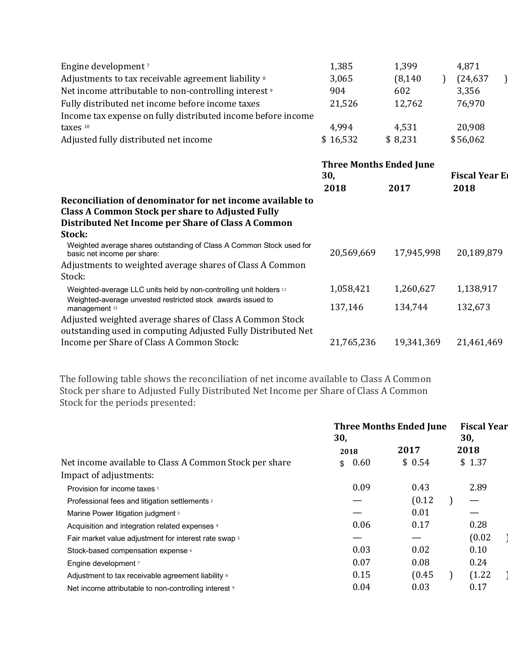| Engine development <sup>7</sup>                                  | 1,385    | 1,399    | 4,871     |  |
|------------------------------------------------------------------|----------|----------|-----------|--|
| Adjustments to tax receivable agreement liability 8              | 3,065    | (8, 140) | (24, 637) |  |
| Net income attributable to non-controlling interest <sup>9</sup> | 904      | 602      | 3,356     |  |
| Fully distributed net income before income taxes                 | 21,526   | 12.762   | 76,970    |  |
| Income tax expense on fully distributed income before income     |          |          |           |  |
| taxes $10$                                                       | 4.994    | 4,531    | 20,908    |  |
| Adjusted fully distributed net income                            | \$16,532 | \$8,231  | \$56,062  |  |

|                                                                                                                                                                     | <b>Three Months Ended June</b><br>30, |            | <b>Fiscal Year El</b> |
|---------------------------------------------------------------------------------------------------------------------------------------------------------------------|---------------------------------------|------------|-----------------------|
|                                                                                                                                                                     | 2018                                  | 2017       | 2018                  |
| Reconciliation of denominator for net income available to<br>Class A Common Stock per share to Adjusted Fully<br>Distributed Net Income per Share of Class A Common |                                       |            |                       |
| Stock:                                                                                                                                                              |                                       |            |                       |
| Weighted average shares outstanding of Class A Common Stock used for<br>basic net income per share:                                                                 | 20,569,669                            | 17,945,998 | 20,189,879            |
| Adjustments to weighted average shares of Class A Common                                                                                                            |                                       |            |                       |
| Stock:                                                                                                                                                              |                                       |            |                       |
| Weighted-average LLC units held by non-controlling unit holders 11<br>Weighted-average unvested restricted stock awards issued to                                   | 1,058,421                             | 1,260,627  | 1,138,917             |
| management <sup>12</sup>                                                                                                                                            | 137,146                               | 134,744    | 132,673               |
| Adjusted weighted average shares of Class A Common Stock<br>outstanding used in computing Adjusted Fully Distributed Net                                            |                                       |            |                       |
| Income per Share of Class A Common Stock:                                                                                                                           | 21,765,236                            | 19,341,369 | 21,461,469            |
|                                                                                                                                                                     |                                       |            |                       |

The following table shows the reconciliation of net income available to Class A Common Stock per share to Adjusted Fully Distributed Net Income per Share of Class A Common Stock for the periods presented:

|                                                                  | <b>Three Months Ended June</b><br>30, |        | <b>Fiscal Year</b><br>30, |  |
|------------------------------------------------------------------|---------------------------------------|--------|---------------------------|--|
|                                                                  | 2018                                  | 2017   | 2018                      |  |
| Net income available to Class A Common Stock per share           | 0.60<br>\$                            | \$0.54 | \$1.37                    |  |
| Impact of adjustments:                                           |                                       |        |                           |  |
| Provision for income taxes 1                                     | 0.09                                  | 0.43   | 2.89                      |  |
| Professional fees and litigation settlements 2                   |                                       | (0.12) |                           |  |
| Marine Power litigation judgment 3                               |                                       | 0.01   |                           |  |
| Acquisition and integration related expenses 4                   | 0.06                                  | 0.17   | 0.28                      |  |
| Fair market value adjustment for interest rate swap 5            |                                       |        | (0.02)                    |  |
| Stock-based compensation expense 6                               | 0.03                                  | 0.02   | 0.10                      |  |
| Engine development 7                                             | 0.07                                  | 0.08   | 0.24                      |  |
| Adjustment to tax receivable agreement liability 8               | 0.15                                  | (0.45) | (1.22)                    |  |
| Net income attributable to non-controlling interest <sup>9</sup> | 0.04                                  | 0.03   | 0.17                      |  |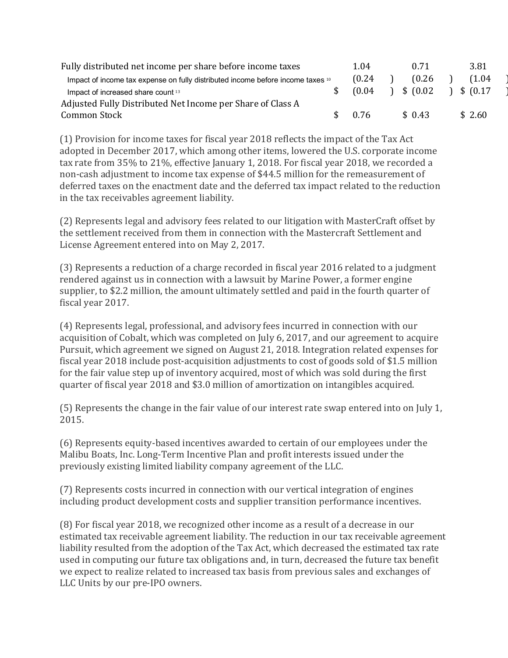| Fully distributed net income per share before income taxes                      | 1.04   | 0.71      | 3.81      |  |
|---------------------------------------------------------------------------------|--------|-----------|-----------|--|
| Impact of income tax expense on fully distributed income before income taxes 10 | (0.24) | (0.26)    | (1.04     |  |
| Impact of increased share count 13                                              | (0.04) | \$ (0.02) | \$ (0.17) |  |
| Adjusted Fully Distributed Net Income per Share of Class A                      |        |           |           |  |
| Common Stock                                                                    | 0.76   | \$0.43    | \$2.60    |  |

(1) Provision for income taxes for fiscal year 2018 reflects the impact of the Tax Act adopted in December 2017, which among other items, lowered the U.S. corporate income tax rate from 35% to 21%, effective January 1, 2018. For fiscal year 2018, we recorded a non-cash adjustment to income tax expense of \$44.5 million for the remeasurement of deferred taxes on the enactment date and the deferred tax impact related to the reduction in the tax receivables agreement liability.

(2) Represents legal and advisory fees related to our litigation with MasterCraft offset by the settlement received from them in connection with the Mastercraft Settlement and License Agreement entered into on May 2, 2017.

(3) Represents a reduction of a charge recorded in fiscal year 2016 related to a judgment rendered against us in connection with a lawsuit by Marine Power, a former engine supplier, to \$2.2 million, the amount ultimately settled and paid in the fourth quarter of fiscal year 2017.

(4) Represents legal, professional, and advisory fees incurred in connection with our acquisition of Cobalt, which was completed on July 6, 2017, and our agreement to acquire Pursuit, which agreement we signed on August 21, 2018. Integration related expenses for fiscal year 2018 include post-acquisition adjustments to cost of goods sold of \$1.5 million for the fair value step up of inventory acquired, most of which was sold during the first quarter of fiscal year 2018 and \$3.0 million of amortization on intangibles acquired.

(5) Represents the change in the fair value of our interest rate swap entered into on July 1, 2015.

(6) Represents equity-based incentives awarded to certain of our employees under the Malibu Boats, Inc. Long-Term Incentive Plan and profit interests issued under the previously existing limited liability company agreement of the LLC.

(7) Represents costs incurred in connection with our vertical integration of engines including product development costs and supplier transition performance incentives.

(8) For fiscal year 2018, we recognized other income as a result of a decrease in our estimated tax receivable agreement liability. The reduction in our tax receivable agreement liability resulted from the adoption of the Tax Act, which decreased the estimated tax rate used in computing our future tax obligations and, in turn, decreased the future tax benefit we expect to realize related to increased tax basis from previous sales and exchanges of LLC Units by our pre-IPO owners.